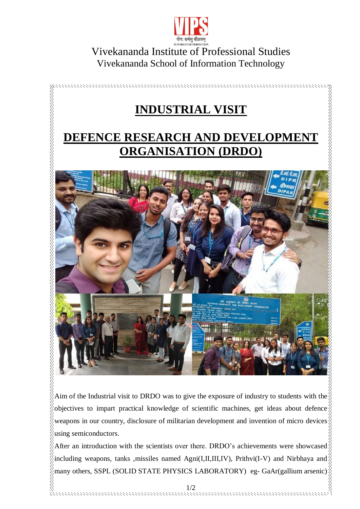

## Vivekananda Institute of Professional Studies Vivekananda School of Information Technology



Aim of the Industrial visit to DRDO was to give the exposure of industry to students with the  $\frac{1}{2}$ objectives to impart practical knowledge of scientific machines, get ideas about defence weapons in our country, disclosure of militarian development and invention of micro devices using semiconductors.

After an introduction with the scientists over there. DRDO's achievements were showcased  $\delta$ including weapons, tanks , missiles named Agni(I,II,III,IV), Prithvi(I-V) and Nirbhaya and  $\frac{1}{2}$ many others, SSPL (SOLID STATE PHYSICS LABORATORY) eg- GaAr(gallium arsenic)